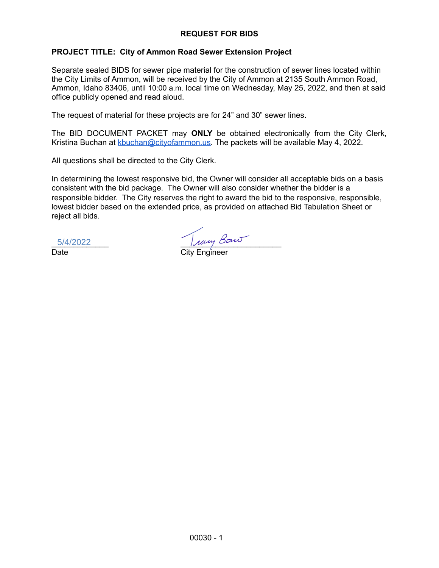## **REQUEST FOR BIDS**

## **PROJECT TITLE: City of Ammon Road Sewer Extension Project**

Separate sealed BIDS for sewer pipe material for the construction of sewer lines located within the City Limits of Ammon, will be received by the City of Ammon at 2135 South Ammon Road, Ammon, Idaho 83406, until 10:00 a.m. local time on Wednesday, May 25, 2022, and then at said office publicly opened and read aloud.

The request of material for these projects are for 24" and 30" sewer lines.

The BID DOCUMENT PACKET may **ONLY** be obtained electronically from the City Clerk, Kristina Buchan at [kbuchan@cityofammon.us.](mailto:kbuchan@cityofammon.us) The packets will be available May 4, 2022.

All questions shall be directed to the City Clerk.

In determining the lowest responsive bid, the Owner will consider all acceptable bids on a basis consistent with the bid package. The Owner will also consider whether the bidder is a responsible bidder. The City reserves the right to award the bid to the responsive, responsible, lowest bidder based on the extended price, as provided on attached Bid Tabulation Sheet or reject all bids.

5/4/2022

 $5/4/2022$   $\mu$ 

Date City Engineer